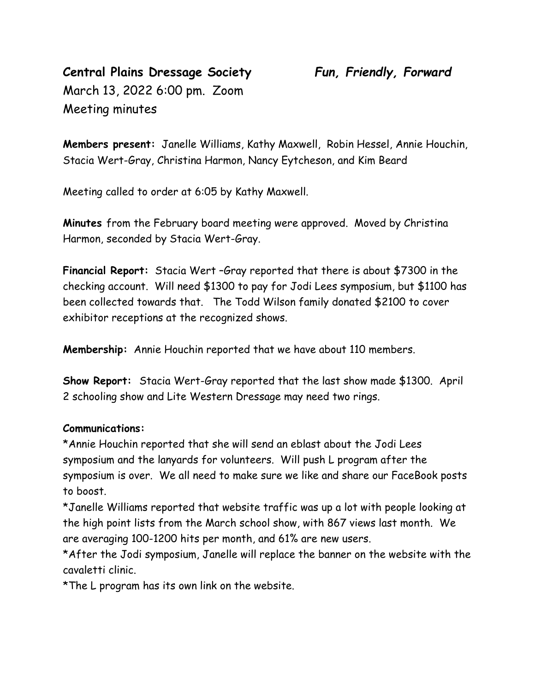# **Central Plains Dressage Society** *Fun, Friendly, Forward* March 13, 2022 6:00 pm. Zoom Meeting minutes

**Members present:** Janelle Williams, Kathy Maxwell, Robin Hessel, Annie Houchin, Stacia Wert-Gray, Christina Harmon, Nancy Eytcheson, and Kim Beard

Meeting called to order at 6:05 by Kathy Maxwell.

**Minutes** from the February board meeting were approved. Moved by Christina Harmon, seconded by Stacia Wert-Gray.

**Financial Report:** Stacia Wert –Gray reported that there is about \$7300 in the checking account. Will need \$1300 to pay for Jodi Lees symposium, but \$1100 has been collected towards that. The Todd Wilson family donated \$2100 to cover exhibitor receptions at the recognized shows.

**Membership:** Annie Houchin reported that we have about 110 members.

**Show Report:** Stacia Wert-Gray reported that the last show made \$1300. April 2 schooling show and Lite Western Dressage may need two rings.

#### **Communications:**

\*Annie Houchin reported that she will send an eblast about the Jodi Lees symposium and the lanyards for volunteers. Will push L program after the symposium is over. We all need to make sure we like and share our FaceBook posts to boost.

\*Janelle Williams reported that website traffic was up a lot with people looking at the high point lists from the March school show, with 867 views last month. We are averaging 100-1200 hits per month, and 61% are new users.

\*After the Jodi symposium, Janelle will replace the banner on the website with the cavaletti clinic.

\*The L program has its own link on the website.